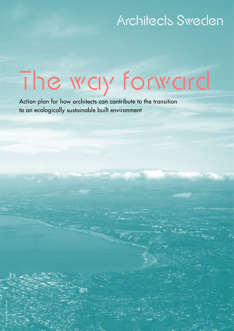## Architects Sweden

# The way forward

Action plan for how architects can contribute to the transition to an ecologically sustainable built environment

Photo: Unspash/Trent Haaland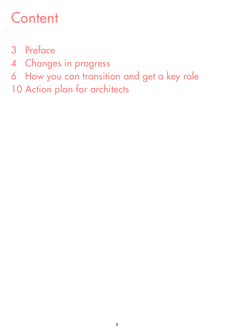## **Content**

- Preface
- Changes in progress
- How you can transition and get a key role
- 10 Action plan for architects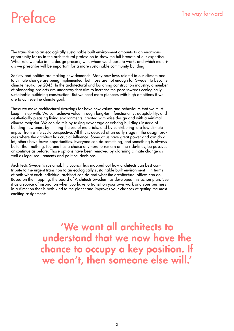## Preface The way forward

The transition to an ecologically sustainable built environment amounts to an enormous opportunity for us in the architectural profession to show the full breadth of our expertise. What role we take in the design process, with whom we choose to work, and which materials we prescribe will be important for a more sustainable community building.

Society and politics are making new demands. Many new laws related to our climate and to climate change are being implemented, but those are not enough for Sweden to become climate neutral by 2045. In the architectural and buildning construction industry, a number of pioneering projects are underway that aim to increase the pace towards ecologically sustainable buildning construction. But we need more pioneers with high ambitions if we are to achieve the climate goal.

Those we make architectural drawings for have new values and behaviours that we must keep in step with. We can achieve value through long-term functionality, adaptability, and aesthetically pleasing living environments, created with wise design and with a minimal climate footprint. We can do this by taking advantage of existing buildings instead of building new ones, by limiting the use of materials, and by contributing to a low climate impact from a life cycle perspective. All this is decided at an early stage in the design process where the architect has crucial influence. Some of us have great power and can do a lot, others have fewer opportunities. Everyone can do something, and something is always better than nothing. No one has a choice anymore to remain on the side-lines, be passive, or continue as before. Those options have been removed by alarming climate change as well as legal requirements and political decisions.

Architects Sweden's sustainability council has mapped out how architects can best contribute to the urgent transition to an ecologically sustainable built environment – in terms of both what each individual architect can do and what the architectural offices can do. Based on the mapping, the board of Architects Sweden has developed this action plan. See it as a source of inspiration when you have to transition your own work and your business in a direction that is both kind to the planet and improves your chances of getting the most exciting assignments.

> 'We want all architects to understand that we now have the chance to occupy a key position. If we don't, then someone else will.'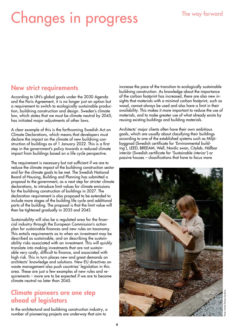## Changes in progress

### New strict requirements

According to UN's global goals under the 2030 Agenda and the Paris Agreement, it is no longer just an option but a requirement to switch to ecologically sustainable production, buildning construction and design. Sweden's climate law, which states that we must be climate neutral by 2045, has initiated major adjustments of other laws.

A clear example of this is the forthcoming Swedish Act on Climate Declarations, which means that developers must declare the impact on the climate of new buildning construction of buildings as of 1 January 2022. This is a first step in the government's policy towards a reduced climate impact from buildings based on a life cycle perspective.

The requirement is necessary but not sufficient if we are to reduce the climate impact of the buildning construction sector and for the climate goals to be met. The Swedish National Board of Housing, Building and Planning has submitted a proposal to the government, as a next step for stricter climate declarations, to introduce limit values for climate emissions for the buildning construction of buildings in 2027. The declaration requirement is also proposed to be extended to include more stages of the building life cycle and additional parts of the building. The proposal is that the limit value will then be tightened gradually in 2035 and 2043.

Sustainability will also be a regulated area for the financial industry through the European Commission's action plan for sustainable finances and new rules on taxonomy. This entails requirements as to when an investment may be described as sustainable, and on describing the sustainability risks associated with an investment. This will quickly translate into making investments that are not sustainable very costly, difficult to finance, and associated with high risk. This in turn places new and great demands on architects' knowledge and solutions. New EU directives on waste management also push countries' legislation in this area. These are just a few examples of new rules and requirements – more are to be expected if we are to become climate neutral no later than 2045.

## Climate pioneers are one step ahead of legislators

In the architectural and buildning construction industry, a number of pioneering projects are underway that aim to

increase the pace of the transition to ecologically sustainable buildning construction. As knowledge about the importance of the carbon footprint has increased, there are also new insights that materials with a minimal carbon footprint, such as wood, cannot always be used and also have a limit in their availability. This makes it more important to reduce the use of materials, and to make greater use of what already exists by reusing existing buildings and building materials.

Architects' major clients often have their own ambitious goals, which are usually about classifying their buildings according to one of the established systems such as Miljöbyggnad (Swedish certificate for 'Environmental building'), LEED, BREEAM, Well, Nordic swan, Citylab, Hållbar interiör (Swedish certificate for 'Sustainable interior') or passive houses – classifications that have to focus more

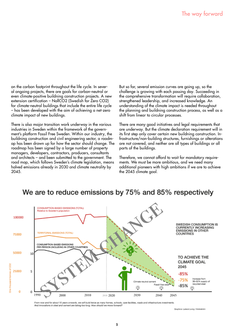on the carbon footprint throughout the life cycle. In several ongoing projects, there are goals for carbon-neutral or even climate-positive buildning construction projects. A new extension certification – NollCO2 (Swedish for Zero CO2) for climate-neutral buildings that include the entire life cycle – has been developed with the aim of achieving a net-zero climate impact of new buildings.

There is also major transition work underway in the various industries in Sweden within the framework of the government's platform Fossil Free Sweden. Within our industry, the buildning construction and civil engineering sector, a roadmap has been drawn up for how the sector should change. The roadmap has been signed by a large number of property managers, developers, contractors, producers, consultants and architects – and been submitted to the government. The road map, which follows Sweden's climate legislation, means halved emissions already in 2030 and climate neutrality by 2045.

But so far, several emission curves are going up, so the challenge is growing with each passing day. Succeeding in the comprehensive transformation will require collaboration, strengthened leadership, and increased knowledge. An understanding of the climate impact is needed throughout the planning and buildning construction process, as well as a shift from linear to circular processes.

There are many good initiatives and legal requirements that are underway. But the climate declaration requirement will in its first step only cover certain new buildning construction. Infrastructure/non-building structures, furnishings or alterations are not covered, and neither are all types of buildings or all parts of the buildings.

Therefore, we cannot afford to wait for mandatory requirements. We must be more ambitious, and we need many additional pioneers with high ambitions if we are to achieve the 2045 climate goal.



## We are to reduce emissions by 75% and 85% respectively

From now and for about 10 years onwards, we will build twice as many homes, schools, care facilities, roads and infrastructure investments<br>And innovations in steel and cement are taking too long. How should we move forward

Graphics: Lateral Living / Holmström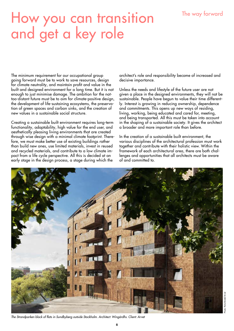### The way forward

## How you can transition and get a key role

The minimum requirement for our occupational group going forward must be to work to save resources, design for climate neutrality, and maintain profit and value in the built and designed environment for a long time. But it is not enough to just minimise damage. The ambition for the nottoo-distant future must be to aim for climate-positive design, the development of life-sustaining ecosystems, the preservation of green spaces and carbon sinks, and the creation of new values in a sustainable social structure.

Creating a sustainable built environment requires long-term functionality, adaptability, high value for the end user, and aesthetically pleasing living environments that are created through wise design with a minimal climate footprint. Therefore, we must make better use of existing buildings rather than build new ones, use limited materials, invest in reused and recycled materials, and contribute to a low climate impact from a life cycle perspective. All this is decided at an early stage in the design process, a stage during which the

architect's role and responsibility become of increased and decisive importance.

Unless the needs and lifestyle of the future user are not given a place in the designed environments, they will not be sustainable. People have begun to value their time differently. Interest is growing in reducing ownership, dependence and commitments. This opens up new ways of residing, living, working, being educated and cared for, meeting, and being transported. All this must be taken into account in the shaping of a sustainable society. It gives the architect a broader and more important role than before.

In the creation of a sustainable built environment, the various disciplines of the architectural profession must work together and contribute with their holistic view. Within the framework of each architectural area, there are both challenges and opportunities that all architects must be aware of and committed to.



6

*The Strandparken block of flats in Sundbyberg outside Stockholm. Architect: Wingårdhs. Client: Arvet*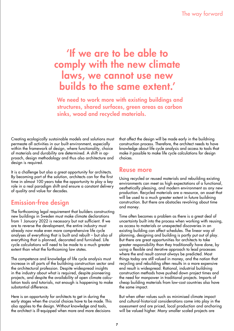## 'If we are to be able to comply with the new climate laws, we cannot use new builds to the same extent.'

We need to work more with existing buildings and structures, shared surfaces, green areas as carbon sinks, wood and recycled materials.

Creating ecologically sustainable models and solutions must permeate all activities in our built environment, especially within the framework of design, where functionality, choice of materials and durability are determined. A shift in approach, design methodology and thus also architecture and design is required.

It is a challenge but also a great opportunity for architects. By becoming part of the solution, architects can for the first time in almost 100 years take the opportunity to play a key role in a real paradigm shift and ensure a constant delivery of quality and value for decades.

## Emission-free design

The forthcoming legal requirement that builders constructing new buildings in Sweden must make climate declarations from 1 January 2022 is necessary but not sufficient. If we are to reverse the development, the entire industry must already now make even more comprehensive life cycle analyses of everything that is built and rebuilt – but also of everything that is planned, decorated and furnished. Life cycle calculations will need to be made to a much greater extent than what the forthcoming law states.

The competence and knowledge of life cycle analysis must increase in all parts of the buildning construction sector and the architectural profession. Despite widespread insights in the industry about what is required, despite pioneering projects, and despite the availability of open climate calculation tools and tutorials, not enough is happening to make substantial difference.

Here is an opportunity for architects to get in during the early stages when the crucial choices have to be made. This also applies to the design. Without knowledge and tools, the architect is ill-equipped when more and more decisions

that affect the design will be made early in the buildning construction process. Therefore, the architect needs to have knowledge about life cycle analysis and access to tools that make it possible to make life cycle calculations for design choices.

### Reuse more

Using recycled or reused materials and rebuilding existing environments can meet as high expectations of a functional, aesthetically pleasing, and modern environment as any new production. Recycled materials are a resource, an asset that will be used to a much greater extent in future buildning construction. But there are obstacles revolving about time and money.

Time often becomes a problem as there is a great deal of uncertainty built into the process when working with reusing, as access to materials or unexpected discoveries in an existing building can affect schedules. The linear way of planning, designing and building is partly put out of play. But there are great opportunities for architects to take greater responsibility than they traditionally have done, by using a flexible and iterative approach to lead processes where the end result cannot always be predicted. Most things today are still valued in money, and the notion that recycling and rebuilding often results in a more expensive end result is widespread. Rational, industrial buildning construction methods have pushed down project times and the need for manpower in traditional projects. Imports of cheap building materials from low-cost countries also have the same impact.

But when other values such as minimised climate impact and cultural-historical considerations come into play in the assessment and are priced, local production and anchoring will be valued higher. Many smaller scaled projects are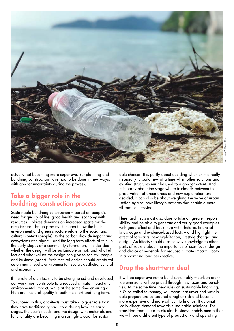

Photo: Pexels/Catherine Sheila

actually not becoming more expensive. But planning and buildning construction have had to be done in new ways, with greater uncertainty during the process.

### Take a bigger role in the buildning construction process

Sustainable buildning construction – based on people's need for quality of life, good health and economy with resources – places demands on increased space for the architectural design process. It is about how the built environment and green structure relate to the social and cultural context (people), to the carbon dioxide impact and ecosystems (the planet), and the long-term effects of this. In the early stages of a community's formation, it is decided whether the design will be sustainable or not, and what effect and what values the design can give to society, people and business (profit). Architectural design should create value on many levels: environmental, social, aesthetic, cultural and economic.

If the role of architects is to be strengthened and developed, our work must contribute to a reduced climate impact and environmental impact, while at the same time ensuring a high architectural quality in both the short and long term.

To succeed in this, architects must take a bigger role than they have traditionally had, considering how the early stages, the user's needs, and the design with materials and functionality are becoming increasingly crucial for sustainable choices. It is partly about deciding whether it is really necessary to build new at a time when other solutions and existing structures must be used to a greater extent. And it is partly about the stage where trade-offs between the preservation of green areas and new exploitation are decided. It can also be about weighing the wave of urbanisation against new lifestyle patterns that enable a more vibrant countryside.

Here, architects must also dare to take on greater responsibility and be able to generate and verify good examples with good effect and back it up with rhetoric, financial knowledge and evidence-based facts – and highlight the effect of forecasts, new exploitation, lifestyle changes and design. Architects should also convey knowledge to other parts of society about the importance of user focus, design and choice of materials for reduced climate impact – both in a short and long perspective.

## Drop the short-term deal

It will be expensive not to build sustainably – carbon dioxide emissions will be priced through new taxes and penalties. At the same time, new rules on sustainable financing, EU's so-called taxonomy, will mean that unverified sustainable projects are considered a higher risk and become more expensive and more difficult to finance. It automatically directs demand towards sustainable solutions. The transition from linear to circular business models means that we will see a different type of production- and operating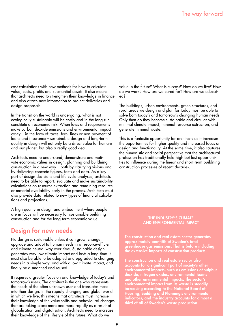cost calculations with new methods for how to calculate value, costs, profits and substantial assets. It also means that architects need to strengthen their knowledge in finance and also attach new information to project deliveries and design proposals.

In the transition the world is undergoing, what is not ecologically sustainable will be costly and in the long run constitute an economic risk. When laws and requirements make carbon dioxide emissions and environmental impact costly – in the form of taxes, fees, fines or non-payment of loans and insurance – sustainable design and long-term quality in design will not only be a direct value for humans and our planet, but also a really good deal.

Architects need to understand, demonstrate and motivate economic values in design, planning and buildning construction in a new way – both by clarifying visions and by delivering concrete figures, facts and data. As a key part of design decisions and life cycle analyses, architects need to be able to report, evaluate and make sustainability calculations on resource extraction and remaining resource or material availability early in the process. Architects must also provide data related to new types of financial calculations and projections.

A high quality in design and embodiment where people are in focus will be necessary for sustainable buildning construction and for the long-term economic value.

### Design for new needs

No design is sustainable unless it can grow, change, upgrade and adapt to human needs in a resource-efficient and climate-neutral way over time. Sustainable design generates very low climate impact and lasts a long time. It must also be able to be adapted and upgraded to changing needs in a simple way, and with a low climate impact, and finally be dismantled and reused.

It requires a greater focus on and knowledge of today's and tomorrow's users. The architect is the one who represents the needs of the often unknown user and translates these into their design. In the rapidly changing and global world in which we live, this means that architects must increase their knowledge of the value shifts and behavioural changes that are taking place more and more rapidly as a result of globalisation and digitalisation. Architects need to increase their knowledge of the lifestyle of the future. What do we

value in the future? What is success? How do we live? How do we work? How are we cared for? How are we educated?

The buildings, urban environments, green structures, and rural areas we design and plan for today must be able to solve both today's and tomorrow's changing human needs. Only then do they become sustainable and circular with minimal climate impact, minimal resource extraction, and generate minimal waste.

This is a fantastic opportunity for architects as it increases the opportunities for higher quality and increased focus on design and functionality. At the same time, it also captures the humanistic and social perspective that the architectural profession has traditionally held high but lost opportunities to influence during the linear and short-term buildning construction processes of recent decades.

#### THE INDUSTRY'S CLIMATE AND ENVIRONMENTAL IMPACT

The construction and real estate sector generates approximately one-fifth of Sweden's total greenhouse gas emissions. That is before including the extensive imports of construction products.

The construction and real estate sector also accounts for a significant part of society's other environmental impacts, such as emissions of sulphur dioxide, nitrogen oxides, environmental toxins and other environmental impacts. The sector's environmental impact from its waste is steadily increasing according to the National Board of Housing, Building and Planning's environmental indicators, and the industry accounts for almost a third of all of Sweden's waste production.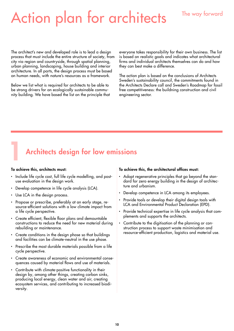## Action plan for architects

### The way forward

The architect's new and developed role is to lead a design process that must include the entire structure of society, from city via region and countryside, through spatial planning, urban planning, landscaping, house building and interior architecture. In all parts, the design process must be based on human needs, with nature's resources as a framework.

Below we list what is required for architects to be able to be strong drivers for an ecologically sustainable community building. We have based the list on the principle that everyone takes responsibility for their own business. The list is based on realistic goals and indicates what architectural firms and individual architects themselves can do and how they can best make a difference.

The action plan is based on the conclusions of Architects Sweden's sustainability council, the commitments found in the Architects Declare call and Sweden's Roadmap for fossil free competitiveness: the buildning construction and civil engineering sector.

## Architects design for low emissions

#### To achieve this, architects must:

- Include life cycle cost, full life cycle modelling, and postuse evaluation in the design work.
- Develop competence in life cycle analysis (LCA).
- Use LCA in the design process.
- Propose or prescribe, preferably at an early stage, resource-efficient solutions with a low climate impact from a life cycle perspective.
- Create efficient, flexible floor plans and demountable constructions to reduce the need for new material during rebuilding or maintenance.
- Create conditions in the design phase so that buildings and facilities can be climate-neutral in the use phase.
- Prescribe the most durable materials possible from a life cycle perspective.
- Create awareness of economic and environmental consequences caused by material flows and use of materials.
- Contribute with climate-positive functionality in their design by, among other things, creating carbon sinks, producing local energy, clean water and air, creating ecosystem services, and contributing to increased biodiversity.

#### To achieve this, the architectural offices must:

- Adopt regenerative principles that go beyond the standard for zero energy building in the design of architecture and urbanism.
- Develop competence in LCA among its employees.
- Provide tools or develop their digital design tools with LCA and Environmental Product Declaration (EPD).
- Provide technical expertise in life cycle analysis that complements and supports the architects.
- Contribute to the digitisation of the planning or construction process to support waste minimisation and resource-efficient production, logistics and material use.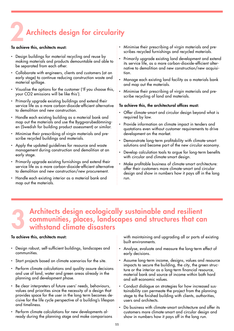## Architects design for circularity

#### To achieve this, architects must:

- Design buildings for material recycling and reuse by making materials and products demountable and able to be separated from each other.
- Collaborate with engineers, clients and customers (at an early stage) to continue reducing construction waste and material spillage.
- Visualise the options for the customer ('If you choose this, your CO2 emissions will be like this').
- Primarily upgrade existing buildings and extend their service life as a more carbon-dioxide-efficient alternative to demolition and new construction.
- Handle each existing building as a material bank and map out the materials and use the Byggvarubedömningen (Swedish for building product assessment) or similar.
- Minimise their prescribing of virgin materials and prescribe recycled buildings and materials.
- Apply the updated guidelines for resource and waste management during construction and demolition at an early stage.
- Primarily upgrade existing furnishings and extend their service life as a more carbon-dioxide-efficient alternative to demolition and new construction/new procurement.
- Handle each existing interior as a material bank and map out the materials.
- Minimise their prescribing of virgin materials and prescribes recycled furnishings and recycled materials.
- Primarily upgrade existing land development and extend its service life, as a more carbon-dioxide-efficient alternative to demolition and new construction/new acquisition.
- Manage each existing land facility as a materials bank and map out the materials.
- Minimise their prescribing of virgin materials and prescribe recycling of land and materials.

#### To achieve this, the architectural offices must:

- Offer climate-smart and circular design beyond what is required by law.
- Provide information on climate impact in tenders and quotations even without customer requirements to drive development on the market.
- Demonstrate long-term profitability with climate-smart solutions and become part of the new circular economy.
- Develop calculation tools to argue for long-term benefits with circular and climate-smart design.
- Make profitable business of climate-smart architecture: offer their customers more climate-smart and circular design and show in numbers how it pays off in the long run.

## **3** Architects design ecologically sustainable and resilient communities, places, landscapes and structures that can withstand climate disasters communities, places, landscapes and structures that can withstand climate disasters

#### To achieve this, architects must:

- Design robust, self-sufficient buildings, landscapes and communities.
- Start projects based on climate scenarios for the site.
- Perform climate calculations and quality assure decisions and use of land, water and green areas already in the planning and development phase.
- Be clear interpreters of future users' needs, behaviours, values and priorities since the necessity of a design that provides space for the user in the long term becomes decisive for the life cycle perspective of a building's lifespan and timeliness.
- Perform climate calculations for new developments already during the planning stage and make comparisons

with maintaining and upgrading all or parts of existing built environments.

- Analyse, evaluate and measure the long-term effect of early decisions.
- Assume long-term income, designs, values and resource impacts to secure the building, the city, the green structure or the interior as a long-term financial resource, material bank and source of income within both hard and soft economic values.
- Conduct dialogue on strategies for how increased sustainability can permeate the project from the planning stage to the finished building with clients, authorities, users and architects.
- Do business with climate-smart architecture and offer its customers more climate-smart and circular design and show in numbers how it pays off in the long run.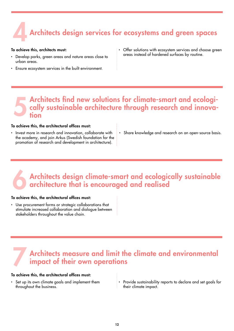## 4 Architects design services for ecosystems and green spaces

#### To achieve this, architects must:

- Develop parks, green areas and nature areas close to urban areas.
- Ensure ecosystem services in the built environment.
- Offer solutions with ecosystem services and choose green areas instead of hardened surfaces by routine.

## **5** Architects find new solutions for climate-smart and ecologi-<br>cally sustainable architecture through research and innovation cally sustainable architecture through research and innovation

#### To achieve this, the architectural offices must:

- Invest more in research and innovation, collaborate with the academy, and join Arkus (Swedish foundation for the promotion of research and development in architecture).
- Share knowledge and research on an open-source basis.

## Architects design climate-smart and ecologically sustainable architecture that is encouraged and realised

#### To achieve this, the architectural offices must:

• Use procurement forms or strategic collaborations that stimulate increased collaboration and dialogue between stakeholders throughout the value chain.

## Architects measure and limit the climate and environmental impact of their own operations

#### To achieve this, the architectural offices must:

- Set up its own climate goals and implement them throughout the business.
- Provide sustainability reports to declare and set goals for their climate impact.